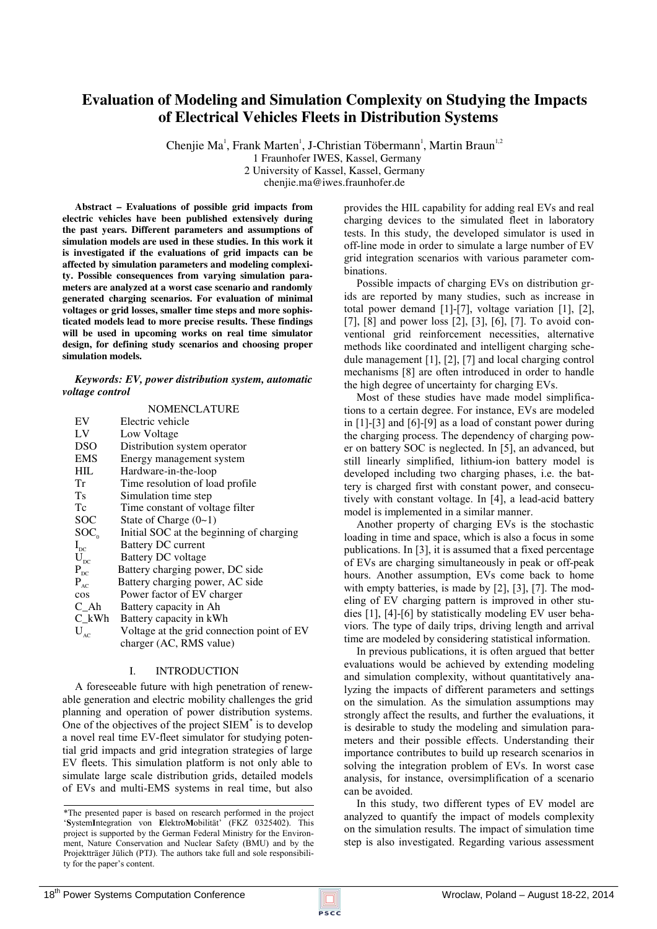# **Evaluation of Modeling and Simulation Complexity on Studying the Impacts of Electrical Vehicles Fleets in Distribution Systems**

Chenjie Ma<sup>1</sup>, Frank Marten<sup>1</sup>, J-Christian Töbermann<sup>1</sup>, Martin Braun<sup>1,2</sup> 1 Fraunhofer IWES, Kassel, Germany 2 University of Kassel, Kassel, Germany chenjie.ma@iwes.fraunhofer.de

**Abstract – Evaluations of possible grid impacts from electric vehicles have been published extensively during the past years. Different parameters and assumptions of simulation models are used in these studies. In this work it is investigated if the evaluations of grid impacts can be affected by simulation parameters and modeling complexity. Possible consequences from varying simulation parameters are analyzed at a worst case scenario and randomly generated charging scenarios. For evaluation of minimal voltages or grid losses, smaller time steps and more sophisticated models lead to more precise results. These findings will be used in upcoming works on real time simulator design, for defining study scenarios and choosing proper simulation models.** 

*Keywords: EV, power distribution system, automatic voltage control* 

|                          | <b>NOMENCLATURE</b>                        |
|--------------------------|--------------------------------------------|
| EV                       | Electric vehicle                           |
| LV                       | Low Voltage                                |
| <b>DSO</b>               | Distribution system operator               |
| <b>EMS</b>               | Energy management system                   |
| HIL                      | Hardware-in-the-loop                       |
| Tr                       | Time resolution of load profile.           |
| Ts                       | Simulation time step                       |
| Tc                       | Time constant of voltage filter            |
| <b>SOC</b>               | State of Charge $(0-1)$                    |
| SOC <sub>o</sub>         | Initial SOC at the beginning of charging   |
| $I_{\rm DC}$             | Battery DC current                         |
| $U_{\rm pc}$             | Battery DC voltage                         |
| $P_{DC}$                 | Battery charging power, DC side            |
| $P_{AC}$                 | Battery charging power, AC side            |
| $\cos$                   | Power factor of EV charger                 |
| C Ah                     | Battery capacity in Ah                     |
| $C_kWh$                  | Battery capacity in kWh                    |
| $\mathbf{U}_{\text{AC}}$ | Voltage at the grid connection point of EV |
|                          | charger (AC, RMS value)                    |

# I. INTRODUCTION

A foreseeable future with high penetration of renewable generation and electric mobility challenges the grid planning and operation of power distribution systems. One of the objectives of the project SIEM\* is to develop a novel real time EV-fleet simulator for studying potential grid impacts and grid integration strategies of large EV fleets. This simulation platform is not only able to simulate large scale distribution grids, detailed models of EVs and multi-EMS systems in real time, but also provides the HIL capability for adding real EVs and real charging devices to the simulated fleet in laboratory tests. In this study, the developed simulator is used in off-line mode in order to simulate a large number of EV grid integration scenarios with various parameter combinations.

Possible impacts of charging EVs on distribution grids are reported by many studies, such as increase in total power demand [1]-[7], voltage variation [1], [2], [7], [8] and power loss [2], [3], [6], [7]. To avoid conventional grid reinforcement necessities, alternative methods like coordinated and intelligent charging schedule management [1], [2], [7] and local charging control mechanisms [8] are often introduced in order to handle the high degree of uncertainty for charging EVs.

Most of these studies have made model simplifications to a certain degree. For instance, EVs are modeled in [1]-[3] and [6]-[9] as a load of constant power during the charging process. The dependency of charging power on battery SOC is neglected. In [5], an advanced, but still linearly simplified, lithium-ion battery model is developed including two charging phases, i.e. the battery is charged first with constant power, and consecutively with constant voltage. In [4], a lead-acid battery model is implemented in a similar manner.

Another property of charging EVs is the stochastic loading in time and space, which is also a focus in some publications. In [3], it is assumed that a fixed percentage of EVs are charging simultaneously in peak or off-peak hours. Another assumption, EVs come back to home with empty batteries, is made by [2], [3], [7]. The modeling of EV charging pattern is improved in other studies [1], [4]-[6] by statistically modeling EV user behaviors. The type of daily trips, driving length and arrival time are modeled by considering statistical information.

In previous publications, it is often argued that better evaluations would be achieved by extending modeling and simulation complexity, without quantitatively analyzing the impacts of different parameters and settings on the simulation. As the simulation assumptions may strongly affect the results, and further the evaluations, it is desirable to study the modeling and simulation parameters and their possible effects. Understanding their importance contributes to build up research scenarios in solving the integration problem of EVs. In worst case analysis, for instance, oversimplification of a scenario can be avoided.

In this study, two different types of EV model are analyzed to quantify the impact of models complexity on the simulation results. The impact of simulation time step is also investigated. Regarding various assessment

<sup>\*</sup>The presented paper is based on research performed in the project '**S**ystem**I**ntegration von **E**lektro**M**obilität' (FKZ 0325402). This project is supported by the German Federal Ministry for the Environment, Nature Conservation and Nuclear Safety (BMU) and by the Projektträger Jülich (PTJ). The authors take full and sole responsibility for the paper's content.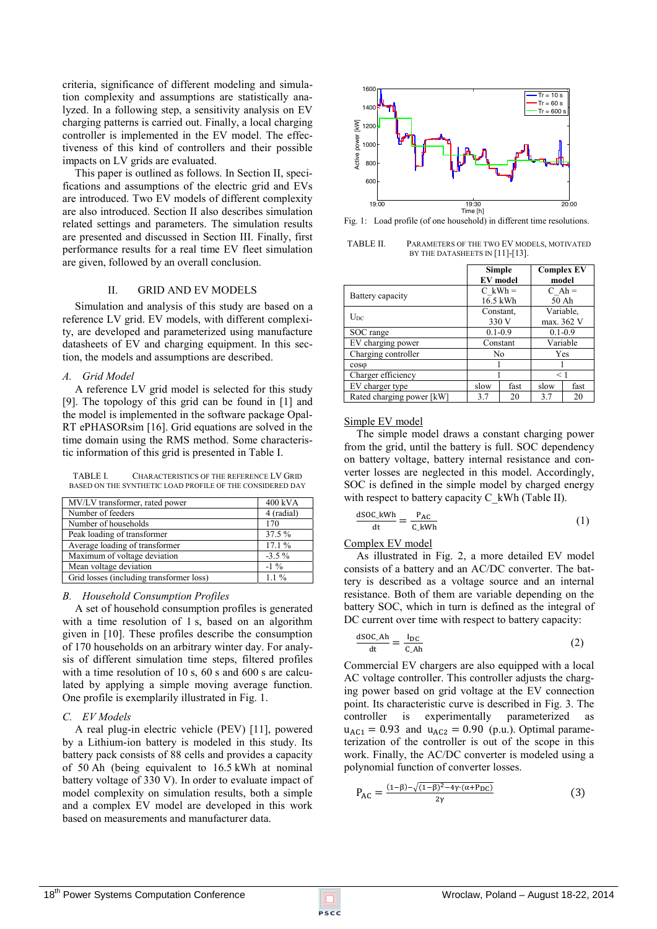criteria, significance of different modeling and simulation complexity and assumptions are statistically analyzed. In a following step, a sensitivity analysis on EV charging patterns is carried out. Finally, a local charging controller is implemented in the EV model. The effectiveness of this kind of controllers and their possible impacts on LV grids are evaluated.

This paper is outlined as follows. In Section II, specifications and assumptions of the electric grid and EVs are introduced. Two EV models of different complexity are also introduced. Section II also describes simulation related settings and parameters. The simulation results are presented and discussed in Section III. Finally, first performance results for a real time EV fleet simulation are given, followed by an overall conclusion.

# II. GRID AND EV MODELS

Simulation and analysis of this study are based on a reference LV grid. EV models, with different complexity, are developed and parameterized using manufacture datasheets of EV and charging equipment. In this section, the models and assumptions are described.

#### *A. Grid Model*

A reference LV grid model is selected for this study [9]. The topology of this grid can be found in [1] and the model is implemented in the software package Opal-RT ePHASORsim [16]. Grid equations are solved in the time domain using the RMS method. Some characteristic information of this grid is presented in Table I.

TABLE I. CHARACTERISTICS OF THE REFERENCE LV GRID BASED ON THE SYNTHETIC LOAD PROFILE OF THE CONSIDERED DAY

| MV/LV transformer, rated power           | 400 kVA    |
|------------------------------------------|------------|
| Number of feeders                        | 4 (radial) |
| Number of households                     | 170        |
| Peak loading of transformer              | 37.5 %     |
| Average loading of transformer           | 17.1%      |
| Maximum of voltage deviation             | $-3.5\%$   |
| Mean voltage deviation                   | $-1\%$     |
| Grid losses (including transformer loss) | $11\%$     |

#### *B. Household Consumption Profiles*

A set of household consumption profiles is generated with a time resolution of 1 s, based on an algorithm given in [10]. These profiles describe the consumption of 170 households on an arbitrary winter day. For analysis of different simulation time steps, filtered profiles with a time resolution of 10 s, 60 s and 600 s are calculated by applying a simple moving average function. One profile is exemplarily illustrated in Fig. 1.

# *C. EV Models*

A real plug-in electric vehicle (PEV) [11], powered by a Lithium-ion battery is modeled in this study. Its battery pack consists of 88 cells and provides a capacity of 50 Ah (being equivalent to 16.5 kWh at nominal battery voltage of 330 V). In order to evaluate impact of model complexity on simulation results, both a simple and a complex EV model are developed in this work based on measurements and manufacturer data.



Fig. 1: Load profile (of one household) in different time resolutions.

TABLE II. PARAMETERS OF THE TWO EV MODELS, MOTIVATED BY THE DATASHEETS IN [11]-[13].

| <b>Simple</b>             |                 |      | <b>Complex EV</b> |       |
|---------------------------|-----------------|------|-------------------|-------|
|                           | <b>EV</b> model |      |                   | model |
| Battery capacity          | $C$ kWh =       |      | $C Ah =$          |       |
|                           | 16.5 kWh        |      | 50 Ah             |       |
| $U_{DC}$                  | Constant,       |      | Variable,         |       |
|                           | 330 V           |      | max. 362 V        |       |
| SOC range                 | $0.1 - 0.9$     |      | $0.1 - 0.9$       |       |
| EV charging power         | Constant        |      | Variable          |       |
| Charging controller       | No              |      | Yes               |       |
| $cos\phi$                 |                 |      |                   |       |
| Charger efficiency        |                 |      | $\leq 1$          |       |
| EV charger type           | slow            | fast | slow              | fast  |
| Rated charging power [kW] | 3.7             | 20   | 3.7               | 20    |

#### Simple EV model

The simple model draws a constant charging power from the grid, until the battery is full. SOC dependency on battery voltage, battery internal resistance and converter losses are neglected in this model. Accordingly, SOC is defined in the simple model by charged energy with respect to battery capacity C\_kWh (Table II).

$$
\frac{\text{dSOC\_kWh}}{\text{dt}} = \frac{P_{AC}}{C_{A}kWh} \tag{1}
$$

# Complex EV model

As illustrated in Fig. 2, a more detailed EV model consists of a battery and an AC/DC converter. The battery is described as a voltage source and an internal resistance. Both of them are variable depending on the battery SOC, which in turn is defined as the integral of DC current over time with respect to battery capacity:

$$
\frac{\text{dSOC\_Ah}}{\text{dt}} = \frac{I_{DC}}{C_{AD}}
$$
 (2)

Commercial EV chargers are also equipped with a local AC voltage controller. This controller adjusts the charging power based on grid voltage at the EV connection point. Its characteristic curve is described in Fig. 3. The controller is experimentally parameterized as  $u_{AC1} = 0.93$  and  $u_{AC2} = 0.90$  (p.u.). Optimal parameterization of the controller is out of the scope in this work. Finally, the AC/DC converter is modeled using a polynomial function of converter losses.

$$
P_{AC} = \frac{(1-\beta) - \sqrt{(1-\beta)^2 - 4\gamma \cdot (\alpha + P_{DC})}}{2\gamma}
$$
(3)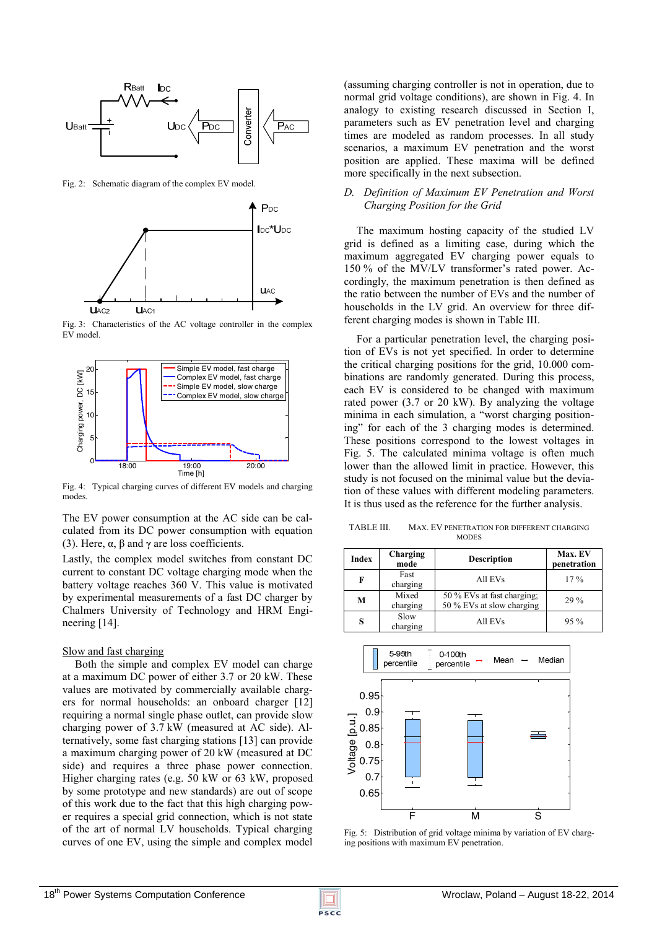

Fig. 2: Schematic diagram of the complex EV model.



Fig. 3: Characteristics of the AC voltage controller in the complex EV model.



Fig. 4: Typical charging curves of different EV models and charging modes.

The EV power consumption at the AC side can be calculated from its DC power consumption with equation (3). Here,  $\alpha$ ,  $\beta$  and  $\gamma$  are loss coefficients.

Lastly, the complex model switches from constant DC current to constant DC voltage charging mode when the battery voltage reaches 360 V. This value is motivated by experimental measurements of a fast DC charger by Chalmers University of Technology and HRM Engineering [14].

#### Slow and fast charging

Both the simple and complex EV model can charge at a maximum DC power of either 3.7 or 20 kW. These values are motivated by commercially available chargers for normal households: an onboard charger [12] requiring a normal single phase outlet, can provide slow charging power of 3.7 kW (measured at AC side). Alternatively, some fast charging stations [13] can provide a maximum charging power of 20 kW (measured at DC side) and requires a three phase power connection. Higher charging rates (e.g. 50 kW or 63 kW, proposed by some prototype and new standards) are out of scope of this work due to the fact that this high charging power requires a special grid connection, which is not state of the art of normal LV households. Typical charging curves of one EV, using the simple and complex model (assuming charging controller is not in operation, due to normal grid voltage conditions), are shown in Fig. 4. In analogy to existing research discussed in Section I, parameters such as EV penetration level and charging times are modeled as random processes. In all study scenarios, a maximum EV penetration and the worst position are applied. These maxima will be defined more specifically in the next subsection.

# *D. Definition of Maximum EV Penetration and Worst Charging Position for the Grid*

The maximum hosting capacity of the studied LV grid is defined as a limiting case, during which the maximum aggregated EV charging power equals to 150 % of the MV/LV transformer's rated power. Accordingly, the maximum penetration is then defined as the ratio between the number of EVs and the number of households in the LV grid. An overview for three different charging modes is shown in Table III.

For a particular penetration level, the charging position of EVs is not yet specified. In order to determine the critical charging positions for the grid, 10.000 combinations are randomly generated. During this process, each EV is considered to be changed with maximum rated power (3.7 or 20 kW). By analyzing the voltage minima in each simulation, a "worst charging positioning" for each of the 3 charging modes is determined. These positions correspond to the lowest voltages in Fig. 5. The calculated minima voltage is often much lower than the allowed limit in practice. However, this study is not focused on the minimal value but the deviation of these values with different modeling parameters. It is thus used as the reference for the further analysis.

TABLE III. MAX. EV PENETRATION FOR DIFFERENT CHARGING **MODES** 

| <b>Index</b> | Charging<br>mode  | <b>Description</b>                                      | <b>Max. EV</b><br>penetration |
|--------------|-------------------|---------------------------------------------------------|-------------------------------|
| F            | Fast<br>charging  | All EVs                                                 | 17%                           |
| M            | Mixed<br>charging | 50 % EVs at fast charging;<br>50 % EVs at slow charging | 29 %                          |
| S            | Slow<br>charging  | All EVs                                                 | 95%                           |



Fig. 5: Distribution of grid voltage minima by variation of EV charging positions with maximum EV penetration.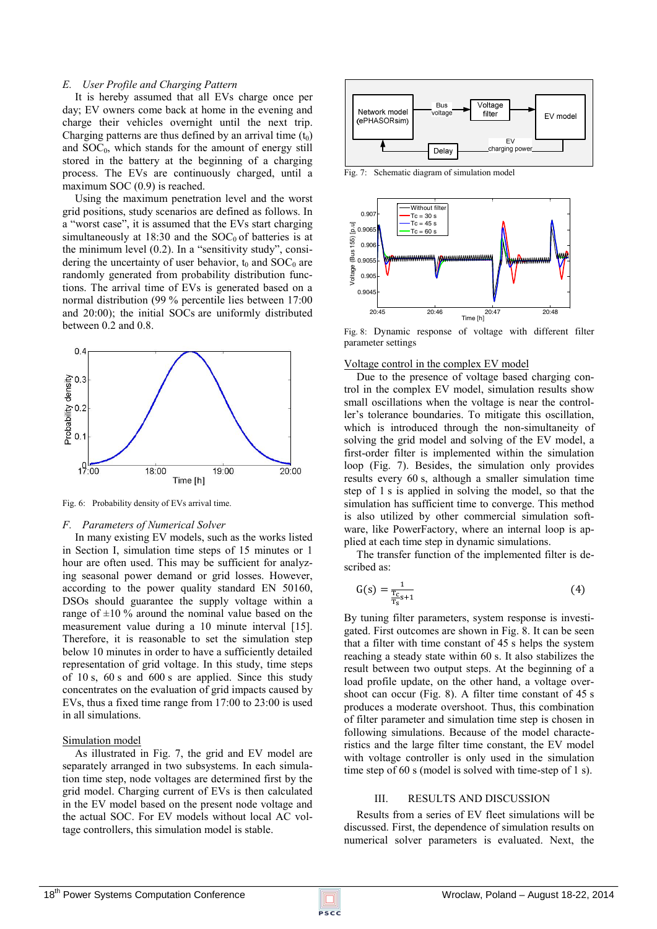#### *E. User Profile and Charging Pattern*

It is hereby assumed that all EVs charge once per day; EV owners come back at home in the evening and charge their vehicles overnight until the next trip. Charging patterns are thus defined by an arrival time  $(t_0)$ and  $SOC<sub>0</sub>$ , which stands for the amount of energy still stored in the battery at the beginning of a charging process. The EVs are continuously charged, until a maximum SOC  $(0.9)$  is reached.

Using the maximum penetration level and the worst grid positions, study scenarios are defined as follows. In a "worst case", it is assumed that the EVs start charging simultaneously at 18:30 and the  $SOC<sub>0</sub>$  of batteries is at the minimum level (0.2). In a "sensitivity study", considering the uncertainty of user behavior,  $t_0$  and SOC<sub>0</sub> are randomly generated from probability distribution functions. The arrival time of EVs is generated based on a normal distribution (99 % percentile lies between 17:00 and 20:00); the initial SOCs are uniformly distributed between 0.2 and 0.8.



Fig. 6: Probability density of EVs arrival time.

#### *F. Parameters of Numerical Solver*

In many existing EV models, such as the works listed in Section I, simulation time steps of 15 minutes or 1 hour are often used. This may be sufficient for analyzing seasonal power demand or grid losses. However, according to the power quality standard EN 50160, DSOs should guarantee the supply voltage within a range of  $\pm 10\%$  around the nominal value based on the measurement value during a 10 minute interval [15]. Therefore, it is reasonable to set the simulation step below 10 minutes in order to have a sufficiently detailed representation of grid voltage. In this study, time steps of 10 s, 60 s and 600 s are applied. Since this study concentrates on the evaluation of grid impacts caused by EVs, thus a fixed time range from 17:00 to 23:00 is used in all simulations.

# Simulation model

As illustrated in Fig. 7, the grid and EV model are separately arranged in two subsystems. In each simulation time step, node voltages are determined first by the grid model. Charging current of EVs is then calculated in the EV model based on the present node voltage and the actual SOC. For EV models without local AC voltage controllers, this simulation model is stable.



Fig. 7: Schematic diagram of simulation model



Fig. 8: Dynamic response of voltage with different filter parameter settings

#### Voltage control in the complex EV model

Due to the presence of voltage based charging control in the complex EV model, simulation results show small oscillations when the voltage is near the controller's tolerance boundaries. To mitigate this oscillation, which is introduced through the non-simultaneity of solving the grid model and solving of the EV model, a first-order filter is implemented within the simulation loop (Fig. 7). Besides, the simulation only provides results every 60 s, although a smaller simulation time step of 1 s is applied in solving the model, so that the simulation has sufficient time to converge. This method is also utilized by other commercial simulation software, like PowerFactory, where an internal loop is applied at each time step in dynamic simulations.

The transfer function of the implemented filter is described as:

$$
G(s) = \frac{1}{\frac{T_{c}}{T_{s}}s + 1}
$$
 (4)

By tuning filter parameters, system response is investigated. First outcomes are shown in Fig. 8. It can be seen that a filter with time constant of 45 s helps the system reaching a steady state within 60 s. It also stabilizes the result between two output steps. At the beginning of a load profile update, on the other hand, a voltage overshoot can occur (Fig. 8). A filter time constant of 45 s produces a moderate overshoot. Thus, this combination of filter parameter and simulation time step is chosen in following simulations. Because of the model characteristics and the large filter time constant, the EV model with voltage controller is only used in the simulation time step of 60 s (model is solved with time-step of 1 s).

#### III. RESULTS AND DISCUSSION

Results from a series of EV fleet simulations will be discussed. First, the dependence of simulation results on numerical solver parameters is evaluated. Next, the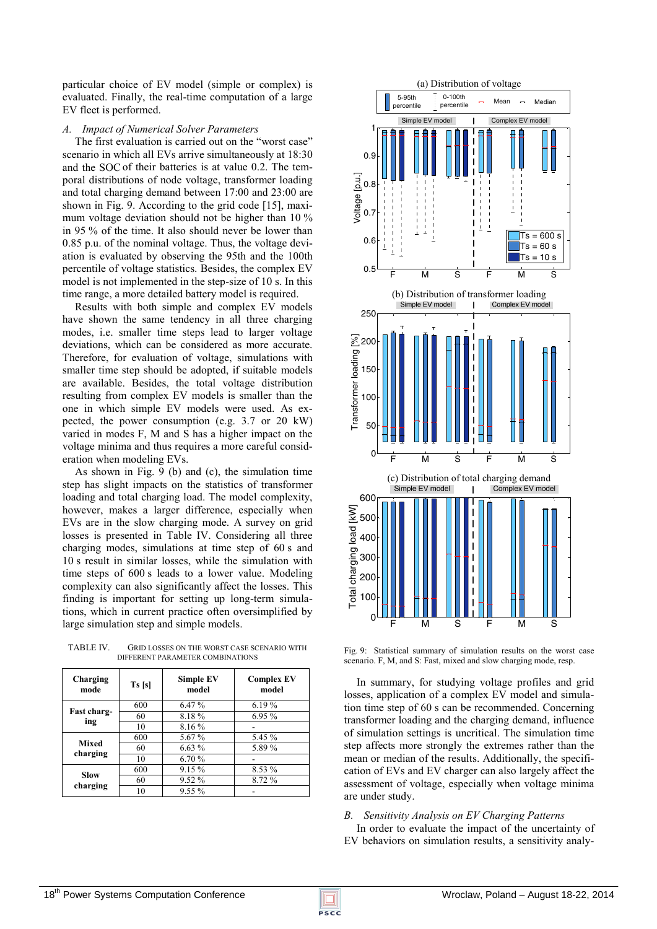particular choice of EV model (simple or complex) is evaluated. Finally, the real-time computation of a large EV fleet is performed.

# *A. Impact of Numerical Solver Parameters*

The first evaluation is carried out on the "worst case" scenario in which all EVs arrive simultaneously at 18:30 and the SOCof their batteries is at value 0.2. The temporal distributions of node voltage, transformer loading and total charging demand between 17:00 and 23:00 are shown in Fig. 9. According to the grid code [15], maximum voltage deviation should not be higher than 10 % in 95 % of the time. It also should never be lower than 0.85 p.u. of the nominal voltage. Thus, the voltage deviation is evaluated by observing the 95th and the 100th percentile of voltage statistics. Besides, the complex EV model is not implemented in the step-size of 10 s. In this time range, a more detailed battery model is required.

Results with both simple and complex EV models have shown the same tendency in all three charging modes, i.e. smaller time steps lead to larger voltage deviations, which can be considered as more accurate. Therefore, for evaluation of voltage, simulations with smaller time step should be adopted, if suitable models are available. Besides, the total voltage distribution resulting from complex EV models is smaller than the one in which simple EV models were used. As expected, the power consumption (e.g. 3.7 or 20 kW) varied in modes F, M and S has a higher impact on the voltage minima and thus requires a more careful consideration when modeling EVs.

As shown in Fig. 9 (b) and (c), the simulation time step has slight impacts on the statistics of transformer loading and total charging load. The model complexity, however, makes a larger difference, especially when EVs are in the slow charging mode. A survey on grid losses is presented in Table IV. Considering all three charging modes, simulations at time step of 60 s and 10 s result in similar losses, while the simulation with time steps of 600 s leads to a lower value. Modeling complexity can also significantly affect the losses. This finding is important for setting up long-term simulations, which in current practice often oversimplified by large simulation step and simple models.

TABLE IV. GRID LOSSES ON THE WORST CASE SCENARIO WITH DIFFERENT PARAMETER COMBINATIONS

| Charging<br>mode  | Ts[s] | <b>Simple EV</b><br>model | <b>Complex EV</b><br>model |
|-------------------|-------|---------------------------|----------------------------|
| Fast charg-       | 600   | $6.47\%$                  | 6.19%                      |
| ing               | 60    | 8.18%                     | 6.95%                      |
|                   | 10    | 8.16%                     |                            |
| Mixed<br>charging | 600   | 5.67%                     | 5.45 %                     |
|                   | 60    | 6.63%                     | 5.89%                      |
|                   | 10    | 6.70 %                    |                            |
| Slow<br>charging  | 600   | 9.15 %                    | 8.53 %                     |
|                   | 60    | 9.52 %                    | 8.72 %                     |
|                   | 10    | $9.55\%$                  |                            |



Fig. 9: Statistical summary of simulation results on the worst case scenario. F, M, and S: Fast, mixed and slow charging mode, resp.

In summary, for studying voltage profiles and grid losses, application of a complex EV model and simulation time step of 60 s can be recommended. Concerning transformer loading and the charging demand, influence of simulation settings is uncritical. The simulation time step affects more strongly the extremes rather than the mean or median of the results. Additionally, the specification of EVs and EV charger can also largely affect the assessment of voltage, especially when voltage minima are under study.

# *B. Sensitivity Analysis on EV Charging Patterns*

In order to evaluate the impact of the uncertainty of EV behaviors on simulation results, a sensitivity analy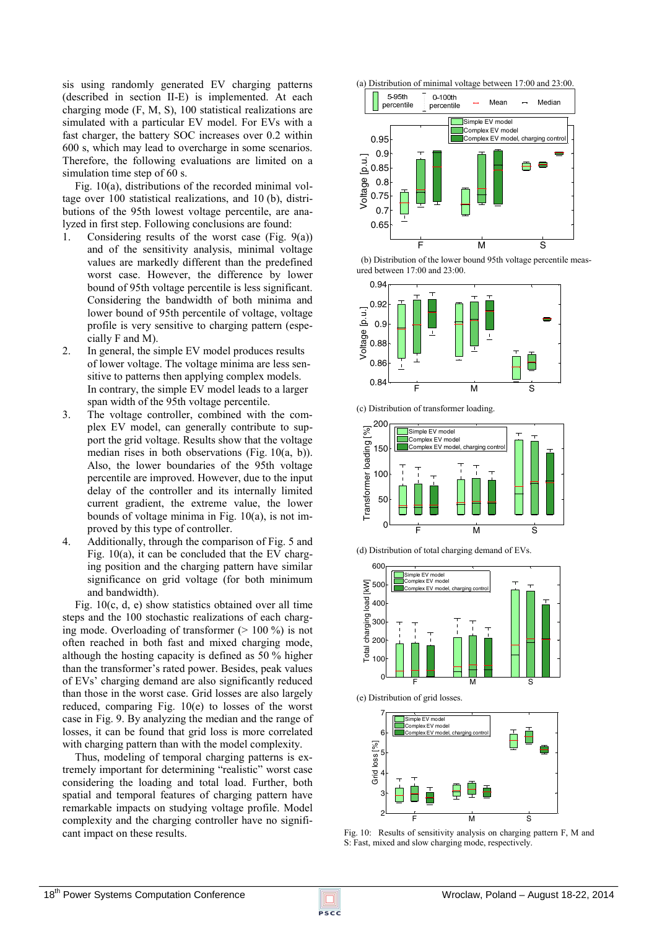sis using randomly generated EV charging patterns (described in section II-E) is implemented. At each charging mode (F, M, S), 100 statistical realizations are simulated with a particular EV model. For EVs with a fast charger, the battery SOC increases over 0.2 within 600 s, which may lead to overcharge in some scenarios. Therefore, the following evaluations are limited on a simulation time step of 60 s.

Fig. 10(a), distributions of the recorded minimal voltage over 100 statistical realizations, and 10 (b), distributions of the 95th lowest voltage percentile, are analyzed in first step. Following conclusions are found:

- 1. Considering results of the worst case (Fig. 9(a)) and of the sensitivity analysis, minimal voltage values are markedly different than the predefined worst case. However, the difference by lower bound of 95th voltage percentile is less significant. Considering the bandwidth of both minima and lower bound of 95th percentile of voltage, voltage profile is very sensitive to charging pattern (especially F and M).
- 2. In general, the simple EV model produces results of lower voltage. The voltage minima are less sensitive to patterns then applying complex models. In contrary, the simple EV model leads to a larger span width of the 95th voltage percentile.
- 3. The voltage controller, combined with the complex EV model, can generally contribute to support the grid voltage. Results show that the voltage median rises in both observations (Fig. 10(a, b)). Also, the lower boundaries of the 95th voltage percentile are improved. However, due to the input delay of the controller and its internally limited current gradient, the extreme value, the lower bounds of voltage minima in Fig. 10(a), is not improved by this type of controller.
- 4. Additionally, through the comparison of Fig. 5 and Fig. 10(a), it can be concluded that the EV charging position and the charging pattern have similar significance on grid voltage (for both minimum and bandwidth).

Fig. 10(c, d, e) show statistics obtained over all time steps and the 100 stochastic realizations of each charging mode. Overloading of transformer  $(> 100\%)$  is not often reached in both fast and mixed charging mode, although the hosting capacity is defined as 50 % higher than the transformer's rated power. Besides, peak values of EVs' charging demand are also significantly reduced than those in the worst case. Grid losses are also largely reduced, comparing Fig. 10(e) to losses of the worst case in Fig. 9. By analyzing the median and the range of losses, it can be found that grid loss is more correlated with charging pattern than with the model complexity.

Thus, modeling of temporal charging patterns is extremely important for determining "realistic" worst case considering the loading and total load. Further, both spatial and temporal features of charging pattern have remarkable impacts on studying voltage profile. Model complexity and the charging controller have no significant impact on these results.



 (b) Distribution of the lower bound 95th voltage percentile measured between 17:00 and 23:00.



200  $\sqrt{2}$ Simple EV model Transformer loading [%] .<br>omplex EV mode Transformer loading 150 nplex EV model, charging 100  $50$  $0$   $F$ M
S  $\overrightarrow{S}$ 

(d) Distribution of total charging demand of EVs.

(c) Distribution of transformer loading.



(e) Distribution of grid losses.



Fig. 10: Results of sensitivity analysis on charging pattern F, M and S: Fast, mixed and slow charging mode, respectively.